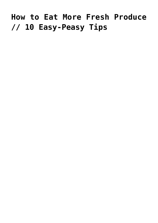## **[How to Eat More Fresh Produce](https://livewellutah.org/2017/01/25/how-to-eat-more-fresh-produce-10-easy-peasy-tips/) [// 10 Easy-Peasy Tips](https://livewellutah.org/2017/01/25/how-to-eat-more-fresh-produce-10-easy-peasy-tips/)**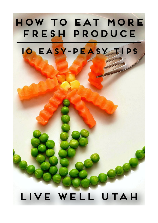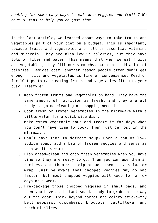*Looking for some easy ways to eat more veggies and fruits? We have 10 tips to help you do just that.*

In the last article, we learned about ways to make fruits and vegetables part of your diet on a budget. This is important, because fruits and vegetables are full of essential vitamins and minerals. They are also low in calories, but they have lots of fiber and water. This means that when we eat fruits and vegetables, they fill our stomachs, but don't add a lot of calories. Besides cost, another reason people often don't get enough fruits and vegetables is time or convenience. Read on for 10 tips to make eating fruits and vegetables fit into your busy lifestyle:

- 1. Keep frozen fruits and vegetables on hand. They have the same amount of nutrition as fresh, and they are all ready to go—no cleaning or chopping needed!
- 2. Cook fresh or frozen vegetables in the microwave with a little water for a quick side dish.
- 3. Make extra vegetable soup and freeze it for days when you don't have time to cook. Then just defrost in the microwave.
- 4. Don't have time to defrost soup? Open a can of lowsodium soup, add a bag of frozen veggies and serve as soon as it is warm.
- 5. Plan ahead—clean and chop fresh vegetables when you have time so they are ready to go. Then you can use them in recipes, eat them with dip or add them to a salad or wrap. Just be aware that chopped veggies may go bad faster, but most chopped veggies will keep for a few days or a week.
- 6. Pre-package those chopped veggies in small bags, and then you have an instant snack ready to grab on the way out the door. Think beyond carrot and celery sticks—try bell peppers, cucumbers, broccoli, cauliflower and zucchini slices.